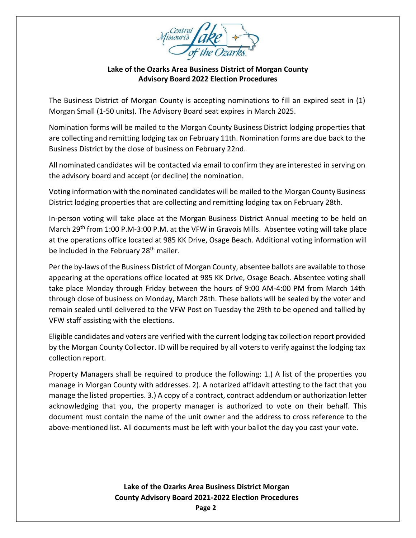

## **Lake of the Ozarks Area Business District of Morgan County Advisory Board 2022 Election Procedures**

The Business District of Morgan County is accepting nominations to fill an expired seat in (1) Morgan Small (1-50 units). The Advisory Board seat expires in March 2025.

Nomination forms will be mailed to the Morgan County Business District lodging properties that are collecting and remitting lodging tax on February 11th. Nomination forms are due back to the Business District by the close of business on February 22nd.

All nominated candidates will be contacted via email to confirm they are interested in serving on the advisory board and accept (or decline) the nomination.

Voting information with the nominated candidates will be mailed to the Morgan County Business District lodging properties that are collecting and remitting lodging tax on February 28th.

In-person voting will take place at the Morgan Business District Annual meeting to be held on March 29<sup>th</sup> from 1:00 P.M-3:00 P.M. at the VFW in Gravois Mills. Absentee voting will take place at the operations office located at 985 KK Drive, Osage Beach. Additional voting information will be included in the February 28<sup>th</sup> mailer.

Per the by-laws of the Business District of Morgan County, absentee ballots are available to those appearing at the operations office located at 985 KK Drive, Osage Beach. Absentee voting shall take place Monday through Friday between the hours of 9:00 AM-4:00 PM from March 14th through close of business on Monday, March 28th. These ballots will be sealed by the voter and remain sealed until delivered to the VFW Post on Tuesday the 29th to be opened and tallied by VFW staff assisting with the elections.

Eligible candidates and voters are verified with the current lodging tax collection report provided by the Morgan County Collector. ID will be required by all voters to verify against the lodging tax collection report.

Property Managers shall be required to produce the following: 1.) A list of the properties you manage in Morgan County with addresses. 2). A notarized affidavit attesting to the fact that you manage the listed properties. 3.) A copy of a contract, contract addendum or authorization letter acknowledging that you, the property manager is authorized to vote on their behalf. This document must contain the name of the unit owner and the address to cross reference to the above-mentioned list. All documents must be left with your ballot the day you cast your vote.